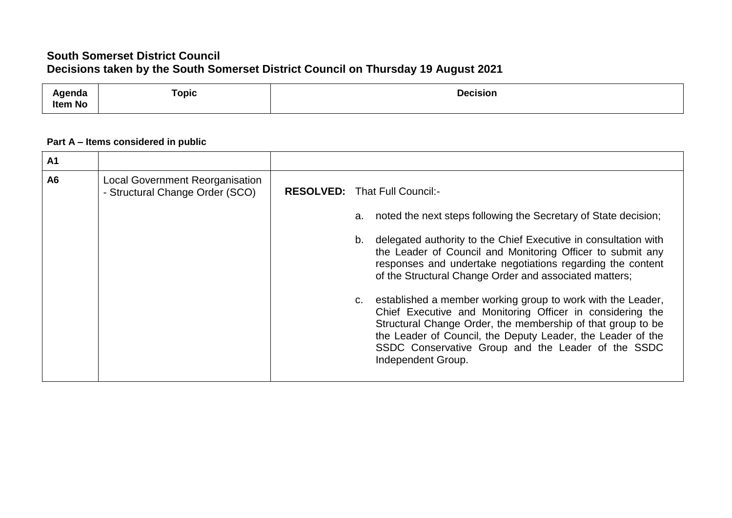## **South Somerset District Council Decisions taken by the South Somerset District Council on Thursday 19 August 2021**

| anua<br>.<br>Item No | $\sim$<br>opic | Decision<br>. |
|----------------------|----------------|---------------|
|                      |                |               |

## **Part A – Items considered in public**

| A1             |                                                                           |                                                                                                                                                                                                                                                                                                                                                                                                                                             |
|----------------|---------------------------------------------------------------------------|---------------------------------------------------------------------------------------------------------------------------------------------------------------------------------------------------------------------------------------------------------------------------------------------------------------------------------------------------------------------------------------------------------------------------------------------|
| A <sub>6</sub> | <b>Local Government Reorganisation</b><br>- Structural Change Order (SCO) | <b>RESOLVED:</b> That Full Council:-<br>a. noted the next steps following the Secretary of State decision;<br>delegated authority to the Chief Executive in consultation with<br>b.<br>the Leader of Council and Monitoring Officer to submit any<br>responses and undertake negotiations regarding the content<br>of the Structural Change Order and associated matters;<br>c. established a member working group to work with the Leader, |
|                |                                                                           | Chief Executive and Monitoring Officer in considering the<br>Structural Change Order, the membership of that group to be<br>the Leader of Council, the Deputy Leader, the Leader of the<br>SSDC Conservative Group and the Leader of the SSDC<br>Independent Group.                                                                                                                                                                         |